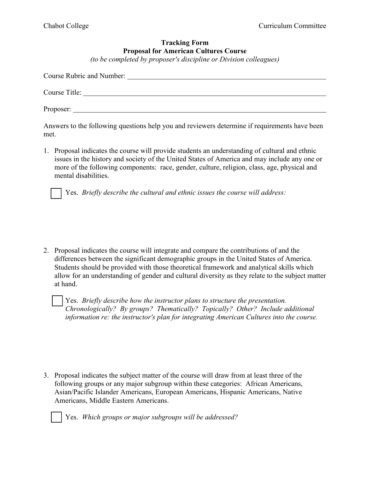## **Tracking Form Proposal for American Cultures Course**

*(to be completed by proposer's discipline or Division colleagues)* 

| Course Rubric and Number: |  |
|---------------------------|--|
|                           |  |
|                           |  |
|                           |  |
| Proposer:                 |  |

Answers to the following questions help you and reviewers determine if requirements have been met.

1. Proposal indicates the course will provide students an understanding of cultural and ethnic issues in the history and society of the United States of America and may include any one or more of the following components: race, gender, culture, religion, class, age, physical and mental disabilities.

Yes. *Briefly describe the cultural and ethnic issues the course will address:*

2. Proposal indicates the course will integrate and compare the contributions of and the differences between the significant demographic groups in the United States of America. Students should be provided with those theoretical framework and analytical skills which allow for an understanding of gender and cultural diversity as they relate to the subject matter at hand.

 Yes. *Briefly describe how the instructor plans to structure the presentation. Chronologically? By groups? Thematically? Topically? Other? Include additional information re: the instructor's plan for integrating American Cultures into the course.*

3. Proposal indicates the subject matter of the course will draw from at least three of the following groups or any major subgroup within these categories: African Americans, Asian/Pacific Islander Americans, European Americans, Hispanic Americans, Native Americans, Middle Eastern Americans.



Yes. *Which groups or major subgroups will be addressed?*